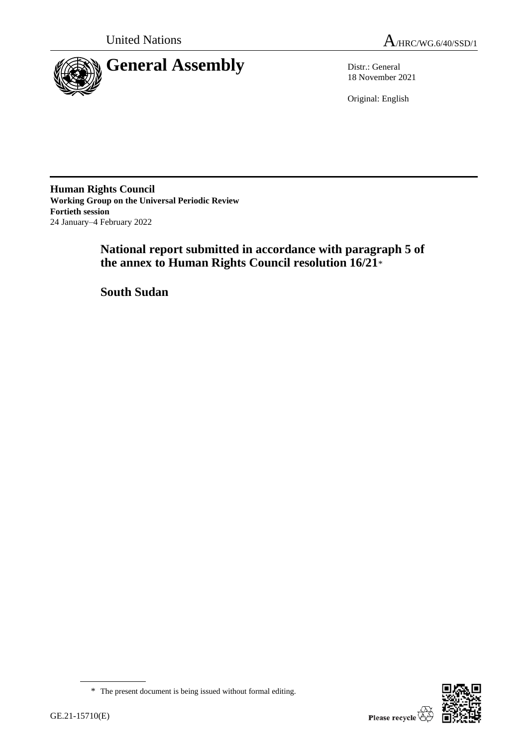



18 November 2021

Original: English

**Human Rights Council Working Group on the Universal Periodic Review Fortieth session** 24 January–4 February 2022

> **National report submitted in accordance with paragraph 5 of the annex to Human Rights Council resolution 16/21**\*

**South Sudan**

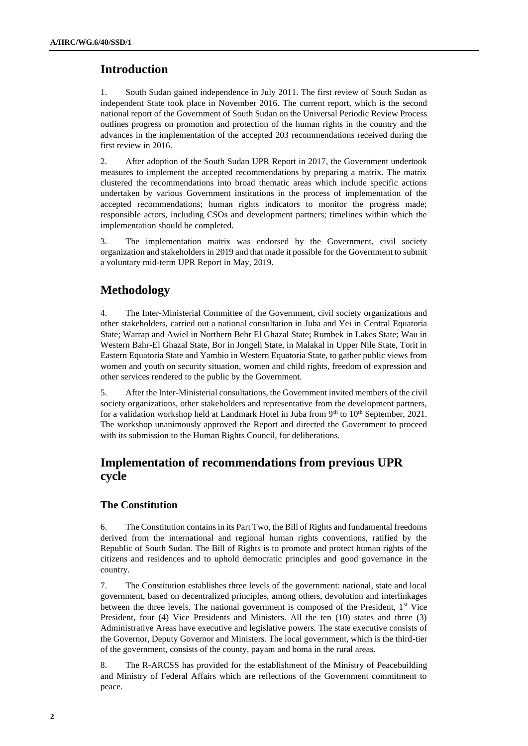# **Introduction**

1. South Sudan gained independence in July 2011. The first review of South Sudan as independent State took place in November 2016. The current report, which is the second national report of the Government of South Sudan on the Universal Periodic Review Process outlines progress on promotion and protection of the human rights in the country and the advances in the implementation of the accepted 203 recommendations received during the first review in 2016.

2. After adoption of the South Sudan UPR Report in 2017, the Government undertook measures to implement the accepted recommendations by preparing a matrix. The matrix clustered the recommendations into broad thematic areas which include specific actions undertaken by various Government institutions in the process of implementation of the accepted recommendations; human rights indicators to monitor the progress made; responsible actors, including CSOs and development partners; timelines within which the implementation should be completed.

3. The implementation matrix was endorsed by the Government, civil society organization and stakeholders in 2019 and that made it possible for the Government to submit a voluntary mid-term UPR Report in May, 2019.

# **Methodology**

4. The Inter-Ministerial Committee of the Government, civil society organizations and other stakeholders, carried out a national consultation in Juba and Yei in Central Equatoria State; Warrap and Awiel in Northern Behr El Ghazal State; Rumbek in Lakes State; Wau in Western Bahr-El Ghazal State, Bor in Jongeli State, in Malakal in Upper Nile State, Torit in Eastern Equatoria State and Yambio in Western Equatoria State, to gather public views from women and youth on security situation, women and child rights, freedom of expression and other services rendered to the public by the Government.

5. After the Inter-Ministerial consultations, the Government invited members of the civil society organizations, other stakeholders and representative from the development partners, for a validation workshop held at Landmark Hotel in Juba from  $9<sup>th</sup>$  to  $10<sup>th</sup>$  September, 2021. The workshop unanimously approved the Report and directed the Government to proceed with its submission to the Human Rights Council, for deliberations.

# **Implementation of recommendations from previous UPR cycle**

# **The Constitution**

6. The Constitution contains in its Part Two, the Bill of Rights and fundamental freedoms derived from the international and regional human rights conventions, ratified by the Republic of South Sudan. The Bill of Rights is to promote and protect human rights of the citizens and residences and to uphold democratic principles and good governance in the country.

7. The Constitution establishes three levels of the government: national, state and local government, based on decentralized principles, among others, devolution and interlinkages between the three levels. The national government is composed of the President,  $1<sup>st</sup>$  Vice President, four (4) Vice Presidents and Ministers. All the ten (10) states and three (3) Administrative Areas have executive and legislative powers. The state executive consists of the Governor, Deputy Governor and Ministers. The local government, which is the third-tier of the government, consists of the county, payam and boma in the rural areas.

8. The R-ARCSS has provided for the establishment of the Ministry of Peacebuilding and Ministry of Federal Affairs which are reflections of the Government commitment to peace.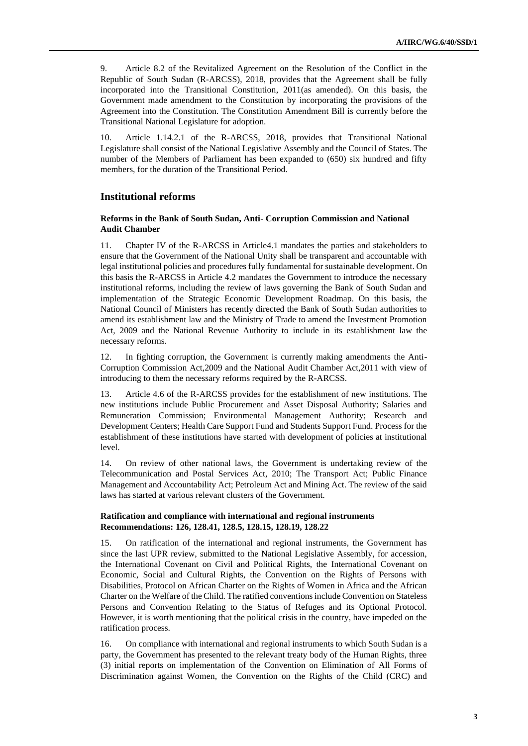9. Article 8.2 of the Revitalized Agreement on the Resolution of the Conflict in the Republic of South Sudan (R-ARCSS), 2018, provides that the Agreement shall be fully incorporated into the Transitional Constitution, 2011(as amended). On this basis, the Government made amendment to the Constitution by incorporating the provisions of the Agreement into the Constitution. The Constitution Amendment Bill is currently before the Transitional National Legislature for adoption.

10. Article 1.14.2.1 of the R-ARCSS, 2018, provides that Transitional National Legislature shall consist of the National Legislative Assembly and the Council of States. The number of the Members of Parliament has been expanded to (650) six hundred and fifty members, for the duration of the Transitional Period.

# **Institutional reforms**

### **Reforms in the Bank of South Sudan, Anti- Corruption Commission and National Audit Chamber**

11. Chapter IV of the R-ARCSS in Article4.1 mandates the parties and stakeholders to ensure that the Government of the National Unity shall be transparent and accountable with legal institutional policies and procedures fully fundamental for sustainable development. On this basis the R-ARCSS in Article 4.2 mandates the Government to introduce the necessary institutional reforms, including the review of laws governing the Bank of South Sudan and implementation of the Strategic Economic Development Roadmap. On this basis, the National Council of Ministers has recently directed the Bank of South Sudan authorities to amend its establishment law and the Ministry of Trade to amend the Investment Promotion Act, 2009 and the National Revenue Authority to include in its establishment law the necessary reforms.

12. In fighting corruption, the Government is currently making amendments the Anti-Corruption Commission Act,2009 and the National Audit Chamber Act,2011 with view of introducing to them the necessary reforms required by the R-ARCSS.

13. Article 4.6 of the R-ARCSS provides for the establishment of new institutions. The new institutions include Public Procurement and Asset Disposal Authority; Salaries and Remuneration Commission; Environmental Management Authority; Research and Development Centers; Health Care Support Fund and Students Support Fund. Process for the establishment of these institutions have started with development of policies at institutional level.

14. On review of other national laws, the Government is undertaking review of the Telecommunication and Postal Services Act, 2010; The Transport Act; Public Finance Management and Accountability Act; Petroleum Act and Mining Act. The review of the said laws has started at various relevant clusters of the Government.

#### **Ratification and compliance with international and regional instruments Recommendations: 126, 128.41, 128.5, 128.15, 128.19, 128.22**

15. On ratification of the international and regional instruments, the Government has since the last UPR review, submitted to the National Legislative Assembly, for accession, the International Covenant on Civil and Political Rights, the International Covenant on Economic, Social and Cultural Rights, the Convention on the Rights of Persons with Disabilities, Protocol on African Charter on the Rights of Women in Africa and the African Charter on the Welfare of the Child. The ratified conventions include Convention on Stateless Persons and Convention Relating to the Status of Refuges and its Optional Protocol. However, it is worth mentioning that the political crisis in the country, have impeded on the ratification process.

16. On compliance with international and regional instruments to which South Sudan is a party, the Government has presented to the relevant treaty body of the Human Rights, three (3) initial reports on implementation of the Convention on Elimination of All Forms of Discrimination against Women, the Convention on the Rights of the Child (CRC) and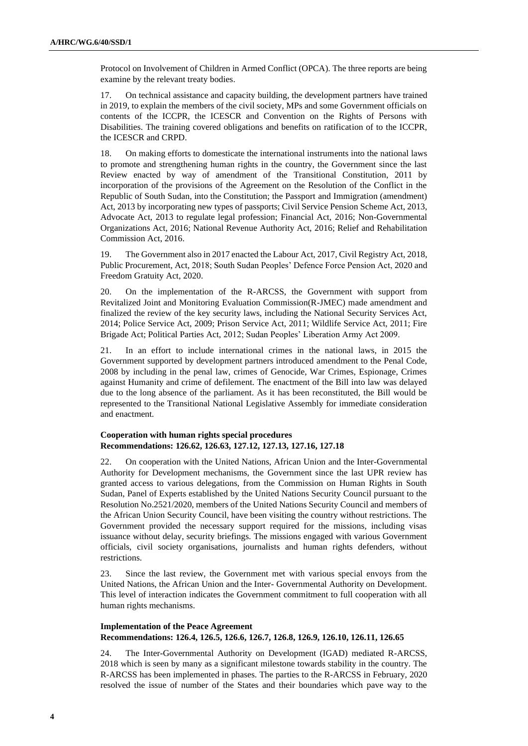Protocol on Involvement of Children in Armed Conflict (OPCA). The three reports are being examine by the relevant treaty bodies.

17. On technical assistance and capacity building, the development partners have trained in 2019, to explain the members of the civil society, MPs and some Government officials on contents of the ICCPR, the ICESCR and Convention on the Rights of Persons with Disabilities. The training covered obligations and benefits on ratification of to the ICCPR, the ICESCR and CRPD.

18. On making efforts to domesticate the international instruments into the national laws to promote and strengthening human rights in the country, the Government since the last Review enacted by way of amendment of the Transitional Constitution, 2011 by incorporation of the provisions of the Agreement on the Resolution of the Conflict in the Republic of South Sudan, into the Constitution; the Passport and Immigration (amendment) Act, 2013 by incorporating new types of passports; Civil Service Pension Scheme Act, 2013, Advocate Act, 2013 to regulate legal profession; Financial Act, 2016; Non-Governmental Organizations Act, 2016; National Revenue Authority Act, 2016; Relief and Rehabilitation Commission Act, 2016.

19. The Government also in 2017 enacted the Labour Act, 2017, Civil Registry Act, 2018, Public Procurement, Act, 2018; South Sudan Peoples' Defence Force Pension Act, 2020 and Freedom Gratuity Act, 2020.

20. On the implementation of the R-ARCSS, the Government with support from Revitalized Joint and Monitoring Evaluation Commission(R-JMEC) made amendment and finalized the review of the key security laws, including the National Security Services Act, 2014; Police Service Act, 2009; Prison Service Act, 2011; Wildlife Service Act, 2011; Fire Brigade Act; Political Parties Act, 2012; Sudan Peoples' Liberation Army Act 2009.

In an effort to include international crimes in the national laws, in 2015 the Government supported by development partners introduced amendment to the Penal Code, 2008 by including in the penal law, crimes of Genocide, War Crimes, Espionage, Crimes against Humanity and crime of defilement. The enactment of the Bill into law was delayed due to the long absence of the parliament. As it has been reconstituted, the Bill would be represented to the Transitional National Legislative Assembly for immediate consideration and enactment.

### **Cooperation with human rights special procedures Recommendations: 126.62, 126.63, 127.12, 127.13, 127.16, 127.18**

22. On cooperation with the United Nations, African Union and the Inter-Governmental Authority for Development mechanisms, the Government since the last UPR review has granted access to various delegations, from the Commission on Human Rights in South Sudan, Panel of Experts established by the United Nations Security Council pursuant to the Resolution No.2521/2020, members of the United Nations Security Council and members of the African Union Security Council, have been visiting the country without restrictions. The Government provided the necessary support required for the missions, including visas issuance without delay, security briefings. The missions engaged with various Government officials, civil society organisations, journalists and human rights defenders, without restrictions.

23. Since the last review, the Government met with various special envoys from the United Nations, the African Union and the Inter- Governmental Authority on Development. This level of interaction indicates the Government commitment to full cooperation with all human rights mechanisms.

# **Implementation of the Peace Agreement Recommendations: 126.4, 126.5, 126.6, 126.7, 126.8, 126.9, 126.10, 126.11, 126.65**

24. The Inter-Governmental Authority on Development (IGAD) mediated R-ARCSS, 2018 which is seen by many as a significant milestone towards stability in the country. The R-ARCSS has been implemented in phases. The parties to the R-ARCSS in February, 2020 resolved the issue of number of the States and their boundaries which pave way to the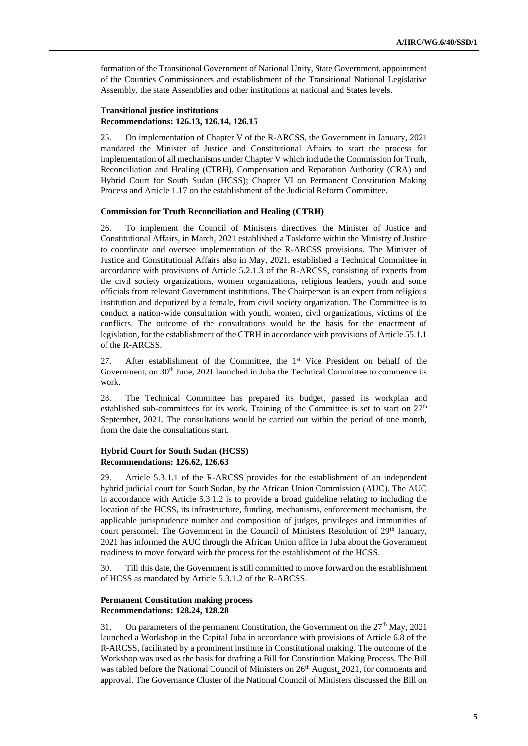formation of the Transitional Government of National Unity, State Government, appointment of the Counties Commissioners and establishment of the Transitional National Legislative Assembly, the state Assemblies and other institutions at national and States levels.

#### **Transitional justice institutions Recommendations: 126.13, 126.14, 126.15**

25. On implementation of Chapter V of the R-ARCSS, the Government in January, 2021 mandated the Minister of Justice and Constitutional Affairs to start the process for implementation of all mechanisms under Chapter V which include the Commission for Truth, Reconciliation and Healing (CTRH), Compensation and Reparation Authority (CRA) and Hybrid Court for South Sudan (HCSS); Chapter VI on Permanent Constitution Making Process and Article 1.17 on the establishment of the Judicial Reform Committee.

#### **Commission for Truth Reconciliation and Healing (CTRH)**

26. To implement the Council of Ministers directives, the Minister of Justice and Constitutional Affairs, in March, 2021 established a Taskforce within the Ministry of Justice to coordinate and oversee implementation of the R-ARCSS provisions. The Minister of Justice and Constitutional Affairs also in May, 2021, established a Technical Committee in accordance with provisions of Article 5.2.1.3 of the R-ARCSS, consisting of experts from the civil society organizations, women organizations, religious leaders, youth and some officials from relevant Government institutions. The Chairperson is an expert from religious institution and deputized by a female, from civil society organization. The Committee is to conduct a nation-wide consultation with youth, women, civil organizations, victims of the conflicts. The outcome of the consultations would be the basis for the enactment of legislation, for the establishment of the CTRH in accordance with provisions of Article 55.1.1 of the R-ARCSS.

27. After establishment of the Committee, the 1<sup>st</sup> Vice President on behalf of the Government, on  $30<sup>th</sup>$  June, 2021 launched in Juba the Technical Committee to commence its work.

28. The Technical Committee has prepared its budget, passed its workplan and established sub-committees for its work. Training of the Committee is set to start on  $27<sup>th</sup>$ September, 2021. The consultations would be carried out within the period of one month, from the date the consultations start.

### **Hybrid Court for South Sudan (HCSS) Recommendations: 126.62, 126.63**

29. Article 5.3.1.1 of the R-ARCSS provides for the establishment of an independent hybrid judicial court for South Sudan, by the African Union Commission (AUC). The AUC in accordance with Article 5.3.1.2 is to provide a broad guideline relating to including the location of the HCSS, its infrastructure, funding, mechanisms, enforcement mechanism, the applicable jurisprudence number and composition of judges, privileges and immunities of court personnel. The Government in the Council of Ministers Resolution of 29<sup>th</sup> January, 2021 has informed the AUC through the African Union office in Juba about the Government readiness to move forward with the process for the establishment of the HCSS.

30. Till this date, the Government is still committed to move forward on the establishment of HCSS as mandated by Article 5.3.1.2 of the R-ARCSS.

#### **Permanent Constitution making process Recommendations: 128.24, 128.28**

31. On parameters of the permanent Constitution, the Government on the  $27<sup>th</sup>$  May, 2021 launched a Workshop in the Capital Juba in accordance with provisions of Article 6.8 of the R-ARCSS, facilitated by a prominent institute in Constitutional making. The outcome of the Workshop was used as the basis for drafting a Bill for Constitution Making Process. The Bill was tabled before the National Council of Ministers on 26<sup>th</sup> August, 2021, for comments and approval. The Governance Cluster of the National Council of Ministers discussed the Bill on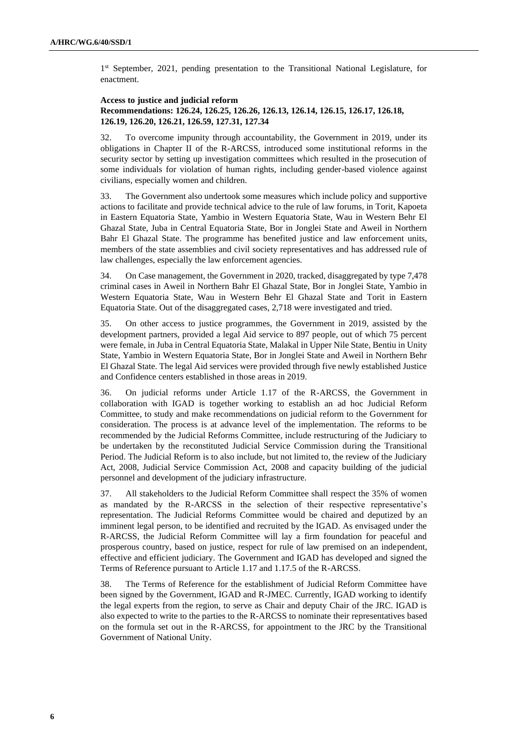1<sup>st</sup> September, 2021, pending presentation to the Transitional National Legislature, for enactment.

### **Access to justice and judicial reform Recommendations: 126.24, 126.25, 126.26, 126.13, 126.14, 126.15, 126.17, 126.18, 126.19, 126.20, 126.21, 126.59, 127.31, 127.34**

32. To overcome impunity through accountability, the Government in 2019, under its obligations in Chapter II of the R-ARCSS, introduced some institutional reforms in the security sector by setting up investigation committees which resulted in the prosecution of some individuals for violation of human rights, including gender-based violence against civilians, especially women and children.

33. The Government also undertook some measures which include policy and supportive actions to facilitate and provide technical advice to the rule of law forums, in Torit, Kapoeta in Eastern Equatoria State, Yambio in Western Equatoria State, Wau in Western Behr El Ghazal State, Juba in Central Equatoria State, Bor in Jonglei State and Aweil in Northern Bahr El Ghazal State. The programme has benefited justice and law enforcement units, members of the state assemblies and civil society representatives and has addressed rule of law challenges, especially the law enforcement agencies.

34. On Case management, the Government in 2020, tracked, disaggregated by type 7,478 criminal cases in Aweil in Northern Bahr El Ghazal State, Bor in Jonglei State, Yambio in Western Equatoria State, Wau in Western Behr El Ghazal State and Torit in Eastern Equatoria State. Out of the disaggregated cases, 2,718 were investigated and tried.

35. On other access to justice programmes, the Government in 2019, assisted by the development partners, provided a legal Aid service to 897 people, out of which 75 percent were female, in Juba in Central Equatoria State, Malakal in Upper Nile State, Bentiu in Unity State, Yambio in Western Equatoria State, Bor in Jonglei State and Aweil in Northern Behr El Ghazal State. The legal Aid services were provided through five newly established Justice and Confidence centers established in those areas in 2019.

36. On judicial reforms under Article 1.17 of the R-ARCSS, the Government in collaboration with IGAD is together working to establish an ad hoc Judicial Reform Committee, to study and make recommendations on judicial reform to the Government for consideration. The process is at advance level of the implementation. The reforms to be recommended by the Judicial Reforms Committee, include restructuring of the Judiciary to be undertaken by the reconstituted Judicial Service Commission during the Transitional Period. The Judicial Reform is to also include, but not limited to, the review of the Judiciary Act, 2008, Judicial Service Commission Act, 2008 and capacity building of the judicial personnel and development of the judiciary infrastructure.

37. All stakeholders to the Judicial Reform Committee shall respect the 35% of women as mandated by the R-ARCSS in the selection of their respective representative's representation. The Judicial Reforms Committee would be chaired and deputized by an imminent legal person, to be identified and recruited by the IGAD. As envisaged under the R-ARCSS, the Judicial Reform Committee will lay a firm foundation for peaceful and prosperous country, based on justice, respect for rule of law premised on an independent, effective and efficient judiciary. The Government and IGAD has developed and signed the Terms of Reference pursuant to Article 1.17 and 1.17.5 of the R-ARCSS.

38. The Terms of Reference for the establishment of Judicial Reform Committee have been signed by the Government, IGAD and R-JMEC. Currently, IGAD working to identify the legal experts from the region, to serve as Chair and deputy Chair of the JRC. IGAD is also expected to write to the parties to the R-ARCSS to nominate their representatives based on the formula set out in the R-ARCSS, for appointment to the JRC by the Transitional Government of National Unity.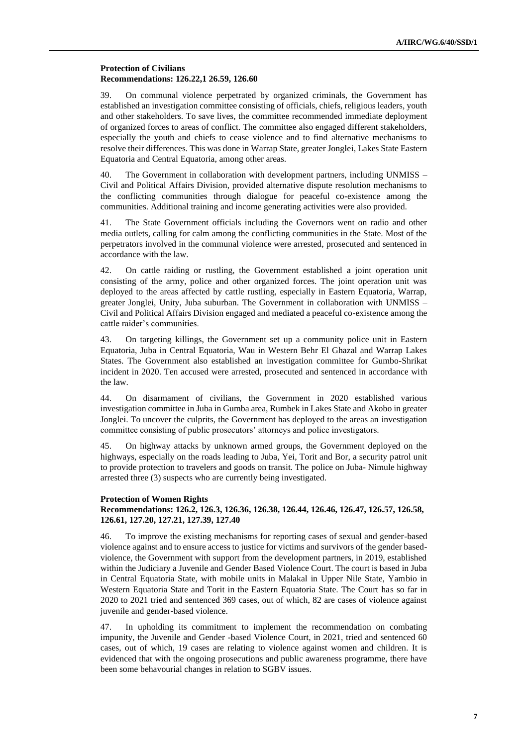### **Protection of Civilians Recommendations: 126.22,1 26.59, 126.60**

39. On communal violence perpetrated by organized criminals, the Government has established an investigation committee consisting of officials, chiefs, religious leaders, youth and other stakeholders. To save lives, the committee recommended immediate deployment of organized forces to areas of conflict. The committee also engaged different stakeholders, especially the youth and chiefs to cease violence and to find alternative mechanisms to resolve their differences. This was done in Warrap State, greater Jonglei, Lakes State Eastern Equatoria and Central Equatoria, among other areas.

40. The Government in collaboration with development partners, including UNMISS – Civil and Political Affairs Division, provided alternative dispute resolution mechanisms to the conflicting communities through dialogue for peaceful co-existence among the communities. Additional training and income generating activities were also provided.

41. The State Government officials including the Governors went on radio and other media outlets, calling for calm among the conflicting communities in the State. Most of the perpetrators involved in the communal violence were arrested, prosecuted and sentenced in accordance with the law.

42. On cattle raiding or rustling, the Government established a joint operation unit consisting of the army, police and other organized forces. The joint operation unit was deployed to the areas affected by cattle rustling, especially in Eastern Equatoria, Warrap, greater Jonglei, Unity, Juba suburban. The Government in collaboration with UNMISS – Civil and Political Affairs Division engaged and mediated a peaceful co-existence among the cattle raider's communities.

43. On targeting killings, the Government set up a community police unit in Eastern Equatoria, Juba in Central Equatoria, Wau in Western Behr El Ghazal and Warrap Lakes States. The Government also established an investigation committee for Gumbo-Shrikat incident in 2020. Ten accused were arrested, prosecuted and sentenced in accordance with the law.

44. On disarmament of civilians, the Government in 2020 established various investigation committee in Juba in Gumba area, Rumbek in Lakes State and Akobo in greater Jonglei. To uncover the culprits, the Government has deployed to the areas an investigation committee consisting of public prosecutors' attorneys and police investigators.

45. On highway attacks by unknown armed groups, the Government deployed on the highways, especially on the roads leading to Juba, Yei, Torit and Bor, a security patrol unit to provide protection to travelers and goods on transit. The police on Juba- Nimule highway arrested three (3) suspects who are currently being investigated.

#### **Protection of Women Rights**

# **Recommendations: 126.2, 126.3, 126.36, 126.38, 126.44, 126.46, 126.47, 126.57, 126.58, 126.61, 127.20, 127.21, 127.39, 127.40**

46. To improve the existing mechanisms for reporting cases of sexual and gender-based violence against and to ensure access to justice for victims and survivors of the gender basedviolence, the Government with support from the development partners, in 2019, established within the Judiciary a Juvenile and Gender Based Violence Court. The court is based in Juba in Central Equatoria State, with mobile units in Malakal in Upper Nile State, Yambio in Western Equatoria State and Torit in the Eastern Equatoria State. The Court has so far in 2020 to 2021 tried and sentenced 369 cases, out of which, 82 are cases of violence against juvenile and gender-based violence.

47. In upholding its commitment to implement the recommendation on combating impunity, the Juvenile and Gender -based Violence Court, in 2021, tried and sentenced 60 cases, out of which, 19 cases are relating to violence against women and children. It is evidenced that with the ongoing prosecutions and public awareness programme, there have been some behavourial changes in relation to SGBV issues.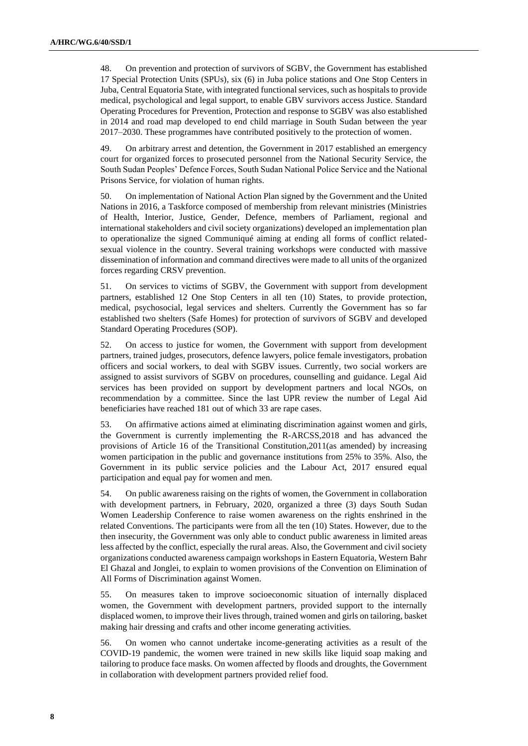48. On prevention and protection of survivors of SGBV, the Government has established 17 Special Protection Units (SPUs), six (6) in Juba police stations and One Stop Centers in Juba, Central Equatoria State, with integrated functional services, such as hospitals to provide medical, psychological and legal support, to enable GBV survivors access Justice. Standard Operating Procedures for Prevention, Protection and response to SGBV was also established in 2014 and road map developed to end child marriage in South Sudan between the year 2017–2030. These programmes have contributed positively to the protection of women.

49. On arbitrary arrest and detention, the Government in 2017 established an emergency court for organized forces to prosecuted personnel from the National Security Service, the South Sudan Peoples' Defence Forces, South Sudan National Police Service and the National Prisons Service, for violation of human rights.

50. On implementation of National Action Plan signed by the Government and the United Nations in 2016, a Taskforce composed of membership from relevant ministries (Ministries of Health, Interior, Justice, Gender, Defence, members of Parliament, regional and international stakeholders and civil society organizations) developed an implementation plan to operationalize the signed Communiqué aiming at ending all forms of conflict relatedsexual violence in the country. Several training workshops were conducted with massive dissemination of information and command directives were made to all units of the organized forces regarding CRSV prevention.

51. On services to victims of SGBV, the Government with support from development partners, established 12 One Stop Centers in all ten (10) States, to provide protection, medical, psychosocial, legal services and shelters. Currently the Government has so far established two shelters (Safe Homes) for protection of survivors of SGBV and developed Standard Operating Procedures (SOP).

52. On access to justice for women, the Government with support from development partners, trained judges, prosecutors, defence lawyers, police female investigators, probation officers and social workers, to deal with SGBV issues. Currently, two social workers are assigned to assist survivors of SGBV on procedures, counselling and guidance. Legal Aid services has been provided on support by development partners and local NGOs, on recommendation by a committee. Since the last UPR review the number of Legal Aid beneficiaries have reached 181 out of which 33 are rape cases.

53. On affirmative actions aimed at eliminating discrimination against women and girls, the Government is currently implementing the R-ARCSS,2018 and has advanced the provisions of Article 16 of the Transitional Constitution,2011(as amended) by increasing women participation in the public and governance institutions from 25% to 35%. Also, the Government in its public service policies and the Labour Act, 2017 ensured equal participation and equal pay for women and men.

54. On public awareness raising on the rights of women, the Government in collaboration with development partners, in February, 2020, organized a three (3) days South Sudan Women Leadership Conference to raise women awareness on the rights enshrined in the related Conventions. The participants were from all the ten (10) States. However, due to the then insecurity, the Government was only able to conduct public awareness in limited areas less affected by the conflict, especially the rural areas. Also, the Government and civil society organizations conducted awareness campaign workshops in Eastern Equatoria, Western Bahr El Ghazal and Jonglei, to explain to women provisions of the Convention on Elimination of All Forms of Discrimination against Women.

55. On measures taken to improve socioeconomic situation of internally displaced women, the Government with development partners, provided support to the internally displaced women, to improve their lives through, trained women and girls on tailoring, basket making hair dressing and crafts and other income generating activities.

56. On women who cannot undertake income-generating activities as a result of the COVID-19 pandemic, the women were trained in new skills like liquid soap making and tailoring to produce face masks. On women affected by floods and droughts, the Government in collaboration with development partners provided relief food.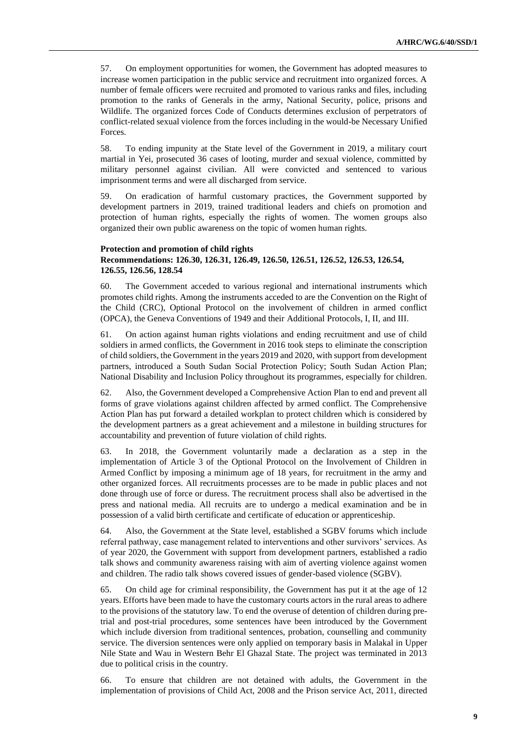57. On employment opportunities for women, the Government has adopted measures to increase women participation in the public service and recruitment into organized forces. A number of female officers were recruited and promoted to various ranks and files, including promotion to the ranks of Generals in the army, National Security, police, prisons and Wildlife. The organized forces Code of Conducts determines exclusion of perpetrators of conflict-related sexual violence from the forces including in the would-be Necessary Unified Forces.

58. To ending impunity at the State level of the Government in 2019, a military court martial in Yei, prosecuted 36 cases of looting, murder and sexual violence, committed by military personnel against civilian. All were convicted and sentenced to various imprisonment terms and were all discharged from service.

59. On eradication of harmful customary practices, the Government supported by development partners in 2019, trained traditional leaders and chiefs on promotion and protection of human rights, especially the rights of women. The women groups also organized their own public awareness on the topic of women human rights.

#### **Protection and promotion of child rights Recommendations: 126.30, 126.31, 126.49, 126.50, 126.51, 126.52, 126.53, 126.54, 126.55, 126.56, 128.54**

60. The Government acceded to various regional and international instruments which promotes child rights. Among the instruments acceded to are the Convention on the Right of the Child (CRC), Optional Protocol on the involvement of children in armed conflict (OPCA), the Geneva Conventions of 1949 and their Additional Protocols, I, II, and III.

61. On action against human rights violations and ending recruitment and use of child soldiers in armed conflicts, the Government in 2016 took steps to eliminate the conscription of child soldiers, the Government in the years 2019 and 2020, with support from development partners, introduced a South Sudan Social Protection Policy; South Sudan Action Plan; National Disability and Inclusion Policy throughout its programmes, especially for children.

62. Also, the Government developed a Comprehensive Action Plan to end and prevent all forms of grave violations against children affected by armed conflict. The Comprehensive Action Plan has put forward a detailed workplan to protect children which is considered by the development partners as a great achievement and a milestone in building structures for accountability and prevention of future violation of child rights.

63. In 2018, the Government voluntarily made a declaration as a step in the implementation of Article 3 of the Optional Protocol on the Involvement of Children in Armed Conflict by imposing a minimum age of 18 years, for recruitment in the army and other organized forces. All recruitments processes are to be made in public places and not done through use of force or duress. The recruitment process shall also be advertised in the press and national media. All recruits are to undergo a medical examination and be in possession of a valid birth certificate and certificate of education or apprenticeship.

64. Also, the Government at the State level, established a SGBV forums which include referral pathway, case management related to interventions and other survivors' services. As of year 2020, the Government with support from development partners, established a radio talk shows and community awareness raising with aim of averting violence against women and children. The radio talk shows covered issues of gender-based violence (SGBV).

65. On child age for criminal responsibility, the Government has put it at the age of 12 years. Efforts have been made to have the customary courts actors in the rural areas to adhere to the provisions of the statutory law. To end the overuse of detention of children during pretrial and post-trial procedures, some sentences have been introduced by the Government which include diversion from traditional sentences, probation, counselling and community service. The diversion sentences were only applied on temporary basis in Malakal in Upper Nile State and Wau in Western Behr El Ghazal State. The project was terminated in 2013 due to political crisis in the country.

66. To ensure that children are not detained with adults, the Government in the implementation of provisions of Child Act, 2008 and the Prison service Act, 2011, directed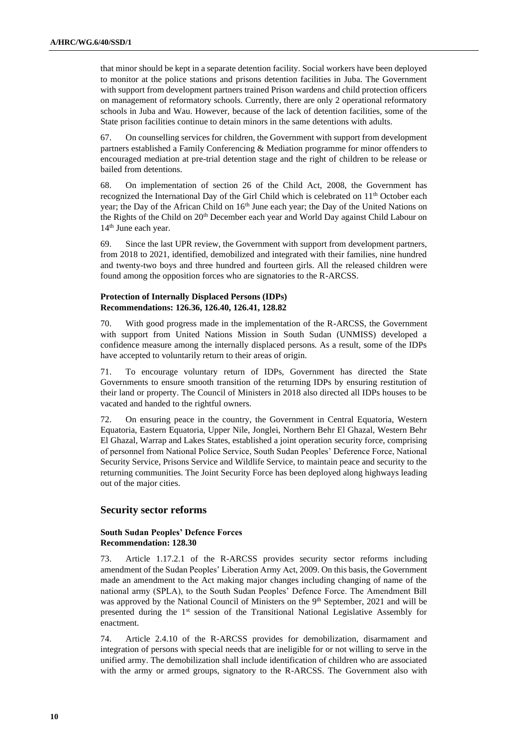that minor should be kept in a separate detention facility. Social workers have been deployed to monitor at the police stations and prisons detention facilities in Juba. The Government with support from development partners trained Prison wardens and child protection officers on management of reformatory schools. Currently, there are only 2 operational reformatory schools in Juba and Wau. However, because of the lack of detention facilities, some of the State prison facilities continue to detain minors in the same detentions with adults.

67. On counselling services for children, the Government with support from development partners established a Family Conferencing & Mediation programme for minor offenders to encouraged mediation at pre-trial detention stage and the right of children to be release or bailed from detentions.

68. On implementation of section 26 of the Child Act, 2008, the Government has recognized the International Day of the Girl Child which is celebrated on  $11<sup>th</sup>$  October each year; the Day of the African Child on 16<sup>th</sup> June each year; the Day of the United Nations on the Rights of the Child on 20<sup>th</sup> December each year and World Day against Child Labour on 14<sup>th</sup> June each year.

69. Since the last UPR review, the Government with support from development partners, from 2018 to 2021, identified, demobilized and integrated with their families, nine hundred and twenty-two boys and three hundred and fourteen girls. All the released children were found among the opposition forces who are signatories to the R-ARCSS.

# **Protection of Internally Displaced Persons (IDPs) Recommendations: 126.36, 126.40, 126.41, 128.82**

70. With good progress made in the implementation of the R-ARCSS, the Government with support from United Nations Mission in South Sudan (UNMISS) developed a confidence measure among the internally displaced persons. As a result, some of the IDPs have accepted to voluntarily return to their areas of origin.

71. To encourage voluntary return of IDPs, Government has directed the State Governments to ensure smooth transition of the returning IDPs by ensuring restitution of their land or property. The Council of Ministers in 2018 also directed all IDPs houses to be vacated and handed to the rightful owners.

72. On ensuring peace in the country, the Government in Central Equatoria, Western Equatoria, Eastern Equatoria, Upper Nile, Jonglei, Northern Behr El Ghazal, Western Behr El Ghazal, Warrap and Lakes States, established a joint operation security force, comprising of personnel from National Police Service, South Sudan Peoples' Deference Force, National Security Service, Prisons Service and Wildlife Service, to maintain peace and security to the returning communities. The Joint Security Force has been deployed along highways leading out of the major cities.

# **Security sector reforms**

#### **South Sudan Peoples' Defence Forces Recommendation: 128.30**

73. Article 1.17.2.1 of the R-ARCSS provides security sector reforms including amendment of the Sudan Peoples' Liberation Army Act, 2009. On this basis, the Government made an amendment to the Act making major changes including changing of name of the national army (SPLA), to the South Sudan Peoples' Defence Force. The Amendment Bill was approved by the National Council of Ministers on the 9<sup>th</sup> September, 2021 and will be presented during the 1st session of the Transitional National Legislative Assembly for enactment.

74. Article 2.4.10 of the R-ARCSS provides for demobilization, disarmament and integration of persons with special needs that are ineligible for or not willing to serve in the unified army. The demobilization shall include identification of children who are associated with the army or armed groups, signatory to the R-ARCSS. The Government also with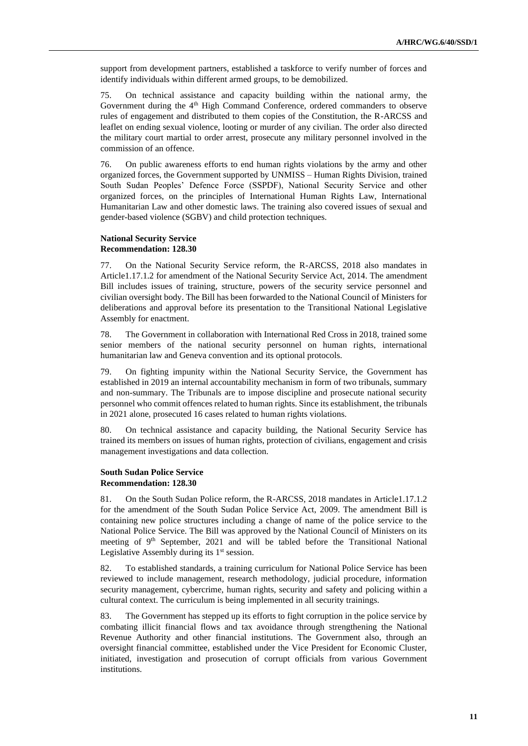support from development partners, established a taskforce to verify number of forces and identify individuals within different armed groups, to be demobilized.

75. On technical assistance and capacity building within the national army, the Government during the 4<sup>th</sup> High Command Conference, ordered commanders to observe rules of engagement and distributed to them copies of the Constitution, the R-ARCSS and leaflet on ending sexual violence, looting or murder of any civilian. The order also directed the military court martial to order arrest, prosecute any military personnel involved in the commission of an offence.

76. On public awareness efforts to end human rights violations by the army and other organized forces, the Government supported by UNMISS – Human Rights Division, trained South Sudan Peoples' Defence Force (SSPDF), National Security Service and other organized forces, on the principles of International Human Rights Law, International Humanitarian Law and other domestic laws. The training also covered issues of sexual and gender-based violence (SGBV) and child protection techniques.

#### **National Security Service Recommendation: 128.30**

77. On the National Security Service reform, the R-ARCSS, 2018 also mandates in Article1.17.1.2 for amendment of the National Security Service Act, 2014. The amendment Bill includes issues of training, structure, powers of the security service personnel and civilian oversight body. The Bill has been forwarded to the National Council of Ministers for deliberations and approval before its presentation to the Transitional National Legislative Assembly for enactment.

78. The Government in collaboration with International Red Cross in 2018, trained some senior members of the national security personnel on human rights, international humanitarian law and Geneva convention and its optional protocols.

79. On fighting impunity within the National Security Service, the Government has established in 2019 an internal accountability mechanism in form of two tribunals, summary and non-summary. The Tribunals are to impose discipline and prosecute national security personnel who commit offences related to human rights. Since its establishment, the tribunals in 2021 alone, prosecuted 16 cases related to human rights violations.

80. On technical assistance and capacity building, the National Security Service has trained its members on issues of human rights, protection of civilians, engagement and crisis management investigations and data collection.

#### **South Sudan Police Service Recommendation: 128.30**

81. On the South Sudan Police reform, the R-ARCSS, 2018 mandates in Article1.17.1.2 for the amendment of the South Sudan Police Service Act, 2009. The amendment Bill is containing new police structures including a change of name of the police service to the National Police Service. The Bill was approved by the National Council of Ministers on its meeting of 9<sup>th</sup> September, 2021 and will be tabled before the Transitional National Legislative Assembly during its  $1<sup>st</sup>$  session.

82. To established standards, a training curriculum for National Police Service has been reviewed to include management, research methodology, judicial procedure, information security management, cybercrime, human rights, security and safety and policing within a cultural context. The curriculum is being implemented in all security trainings.

83. The Government has stepped up its efforts to fight corruption in the police service by combating illicit financial flows and tax avoidance through strengthening the National Revenue Authority and other financial institutions. The Government also, through an oversight financial committee, established under the Vice President for Economic Cluster, initiated, investigation and prosecution of corrupt officials from various Government institutions.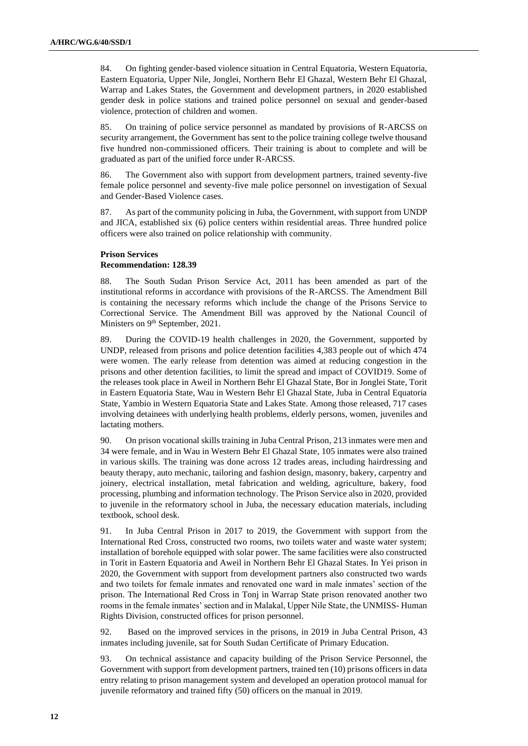84. On fighting gender-based violence situation in Central Equatoria, Western Equatoria, Eastern Equatoria, Upper Nile, Jonglei, Northern Behr El Ghazal, Western Behr El Ghazal, Warrap and Lakes States, the Government and development partners, in 2020 established gender desk in police stations and trained police personnel on sexual and gender-based violence, protection of children and women.

85. On training of police service personnel as mandated by provisions of R-ARCSS on security arrangement, the Government has sent to the police training college twelve thousand five hundred non-commissioned officers. Their training is about to complete and will be graduated as part of the unified force under R-ARCSS.

86. The Government also with support from development partners, trained seventy-five female police personnel and seventy-five male police personnel on investigation of Sexual and Gender-Based Violence cases.

87. As part of the community policing in Juba, the Government, with support from UNDP and JICA, established six (6) police centers within residential areas. Three hundred police officers were also trained on police relationship with community.

### **Prison Services Recommendation: 128.39**

88. The South Sudan Prison Service Act, 2011 has been amended as part of the institutional reforms in accordance with provisions of the R-ARCSS. The Amendment Bill is containing the necessary reforms which include the change of the Prisons Service to Correctional Service. The Amendment Bill was approved by the National Council of Ministers on 9<sup>th</sup> September, 2021.

89. During the COVID-19 health challenges in 2020, the Government, supported by UNDP, released from prisons and police detention facilities 4,383 people out of which 474 were women. The early release from detention was aimed at reducing congestion in the prisons and other detention facilities, to limit the spread and impact of COVID19. Some of the releases took place in Aweil in Northern Behr El Ghazal State, Bor in Jonglei State, Torit in Eastern Equatoria State, Wau in Western Behr El Ghazal State, Juba in Central Equatoria State, Yambio in Western Equatoria State and Lakes State. Among those released, 717 cases involving detainees with underlying health problems, elderly persons, women, juveniles and lactating mothers.

90. On prison vocational skills training in Juba Central Prison, 213 inmates were men and 34 were female, and in Wau in Western Behr El Ghazal State, 105 inmates were also trained in various skills. The training was done across 12 trades areas, including hairdressing and beauty therapy, auto mechanic, tailoring and fashion design, masonry, bakery, carpentry and joinery, electrical installation, metal fabrication and welding, agriculture, bakery, food processing, plumbing and information technology. The Prison Service also in 2020, provided to juvenile in the reformatory school in Juba, the necessary education materials, including textbook, school desk.

91. In Juba Central Prison in 2017 to 2019, the Government with support from the International Red Cross, constructed two rooms, two toilets water and waste water system; installation of borehole equipped with solar power. The same facilities were also constructed in Torit in Eastern Equatoria and Aweil in Northern Behr El Ghazal States. In Yei prison in 2020, the Government with support from development partners also constructed two wards and two toilets for female inmates and renovated one ward in male inmates' section of the prison. The International Red Cross in Tonj in Warrap State prison renovated another two rooms in the female inmates' section and in Malakal, Upper Nile State, the UNMISS- Human Rights Division, constructed offices for prison personnel.

92. Based on the improved services in the prisons, in 2019 in Juba Central Prison, 43 inmates including juvenile, sat for South Sudan Certificate of Primary Education.

93. On technical assistance and capacity building of the Prison Service Personnel, the Government with support from development partners, trained ten (10) prisons officers in data entry relating to prison management system and developed an operation protocol manual for juvenile reformatory and trained fifty (50) officers on the manual in 2019.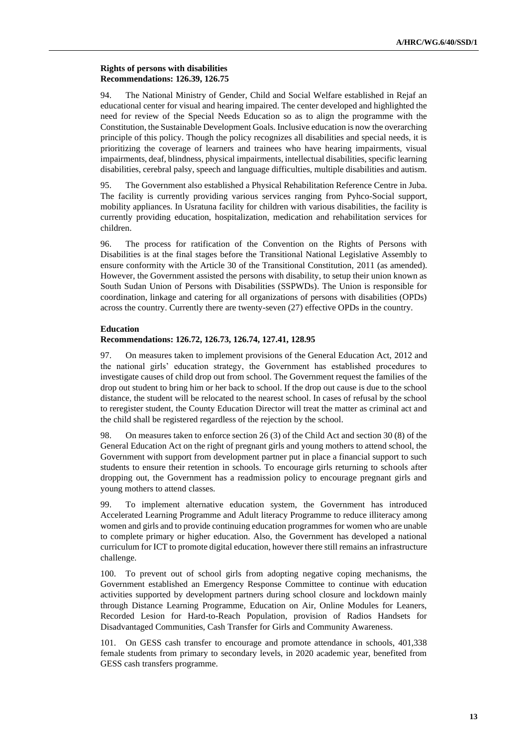### **Rights of persons with disabilities Recommendations: 126.39, 126.75**

94. The National Ministry of Gender, Child and Social Welfare established in Rejaf an educational center for visual and hearing impaired. The center developed and highlighted the need for review of the Special Needs Education so as to align the programme with the Constitution, the Sustainable Development Goals. Inclusive education is now the overarching principle of this policy. Though the policy recognizes all disabilities and special needs, it is prioritizing the coverage of learners and trainees who have hearing impairments, visual impairments, deaf, blindness, physical impairments, intellectual disabilities, specific learning disabilities, cerebral palsy, speech and language difficulties, multiple disabilities and autism.

95. The Government also established a Physical Rehabilitation Reference Centre in Juba. The facility is currently providing various services ranging from Pyhco-Social support, mobility appliances. In Usratuna facility for children with various disabilities, the facility is currently providing education, hospitalization, medication and rehabilitation services for children.

96. The process for ratification of the Convention on the Rights of Persons with Disabilities is at the final stages before the Transitional National Legislative Assembly to ensure conformity with the Article 30 of the Transitional Constitution, 2011 (as amended). However, the Government assisted the persons with disability, to setup their union known as South Sudan Union of Persons with Disabilities (SSPWDs). The Union is responsible for coordination, linkage and catering for all organizations of persons with disabilities (OPDs) across the country. Currently there are twenty-seven (27) effective OPDs in the country.

#### **Education**

#### **Recommendations: 126.72, 126.73, 126.74, 127.41, 128.95**

97. On measures taken to implement provisions of the General Education Act, 2012 and the national girls' education strategy, the Government has established procedures to investigate causes of child drop out from school. The Government request the families of the drop out student to bring him or her back to school. If the drop out cause is due to the school distance, the student will be relocated to the nearest school. In cases of refusal by the school to reregister student, the County Education Director will treat the matter as criminal act and the child shall be registered regardless of the rejection by the school.

98. On measures taken to enforce section 26 (3) of the Child Act and section 30 (8) of the General Education Act on the right of pregnant girls and young mothers to attend school, the Government with support from development partner put in place a financial support to such students to ensure their retention in schools. To encourage girls returning to schools after dropping out, the Government has a readmission policy to encourage pregnant girls and young mothers to attend classes.

99. To implement alternative education system, the Government has introduced Accelerated Learning Programme and Adult literacy Programme to reduce illiteracy among women and girls and to provide continuing education programmes for women who are unable to complete primary or higher education. Also, the Government has developed a national curriculum for ICT to promote digital education, however there still remains an infrastructure challenge.

100. To prevent out of school girls from adopting negative coping mechanisms, the Government established an Emergency Response Committee to continue with education activities supported by development partners during school closure and lockdown mainly through Distance Learning Programme, Education on Air, Online Modules for Leaners, Recorded Lesion for Hard-to-Reach Population, provision of Radios Handsets for Disadvantaged Communities, Cash Transfer for Girls and Community Awareness.

101. On GESS cash transfer to encourage and promote attendance in schools, 401,338 female students from primary to secondary levels, in 2020 academic year, benefited from GESS cash transfers programme.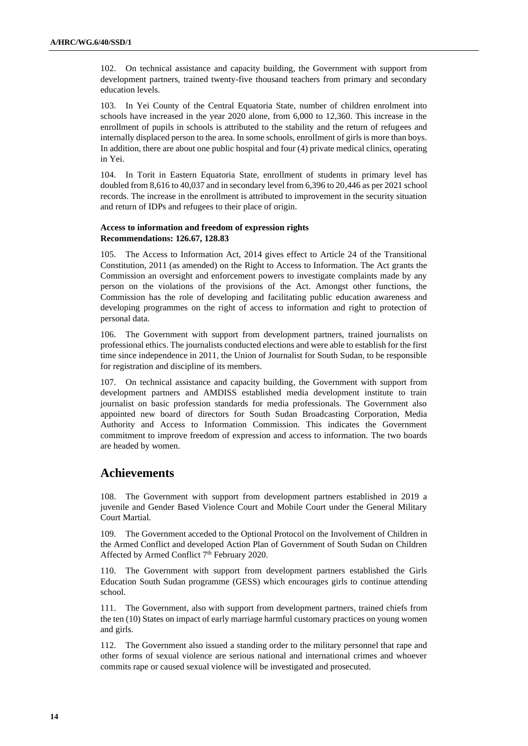102. On technical assistance and capacity building, the Government with support from development partners, trained twenty-five thousand teachers from primary and secondary education levels.

103. In Yei County of the Central Equatoria State, number of children enrolment into schools have increased in the year 2020 alone, from 6,000 to 12,360. This increase in the enrollment of pupils in schools is attributed to the stability and the return of refugees and internally displaced person to the area. In some schools, enrollment of girls is more than boys. In addition, there are about one public hospital and four (4) private medical clinics, operating in Yei.

104. In Torit in Eastern Equatoria State, enrollment of students in primary level has doubled from 8,616 to 40,037 and in secondary level from 6,396 to 20,446 as per 2021 school records. The increase in the enrollment is attributed to improvement in the security situation and return of IDPs and refugees to their place of origin.

# **Access to information and freedom of expression rights Recommendations: 126.67, 128.83**

105. The Access to Information Act, 2014 gives effect to Article 24 of the Transitional Constitution, 2011 (as amended) on the Right to Access to Information. The Act grants the Commission an oversight and enforcement powers to investigate complaints made by any person on the violations of the provisions of the Act. Amongst other functions, the Commission has the role of developing and facilitating public education awareness and developing programmes on the right of access to information and right to protection of personal data.

106. The Government with support from development partners, trained journalists on professional ethics. The journalists conducted elections and were able to establish for the first time since independence in 2011, the Union of Journalist for South Sudan, to be responsible for registration and discipline of its members.

107. On technical assistance and capacity building, the Government with support from development partners and AMDISS established media development institute to train journalist on basic profession standards for media professionals. The Government also appointed new board of directors for South Sudan Broadcasting Corporation, Media Authority and Access to Information Commission. This indicates the Government commitment to improve freedom of expression and access to information. The two boards are headed by women.

# **Achievements**

108. The Government with support from development partners established in 2019 a juvenile and Gender Based Violence Court and Mobile Court under the General Military Court Martial.

109. The Government acceded to the Optional Protocol on the Involvement of Children in the Armed Conflict and developed Action Plan of Government of South Sudan on Children Affected by Armed Conflict 7<sup>th</sup> February 2020.

110. The Government with support from development partners established the Girls Education South Sudan programme (GESS) which encourages girls to continue attending school.

111. The Government, also with support from development partners, trained chiefs from the ten (10) States on impact of early marriage harmful customary practices on young women and girls.

112. The Government also issued a standing order to the military personnel that rape and other forms of sexual violence are serious national and international crimes and whoever commits rape or caused sexual violence will be investigated and prosecuted.